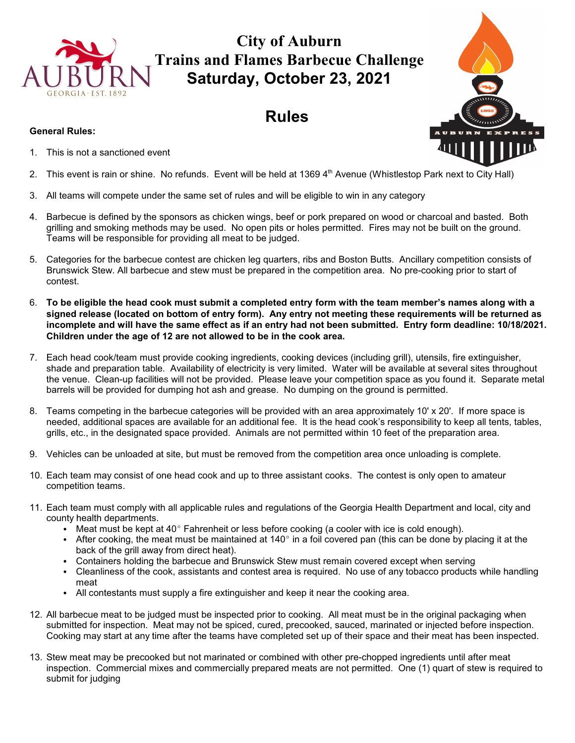

# **City of Auburn Trains and Flames Barbecue Challenge Saturday, October 23, 2021**

# **Rules**

#### **General Rules:**

- 1. This is not a sanctioned event
- 2. This event is rain or shine. No refunds. Event will be held at  $1369\,4<sup>th</sup>$  Avenue (Whistlestop Park next to City Hall)
- 3. All teams will compete under the same set of rules and will be eligible to win in any category
- 4. Barbecue is defined by the sponsors as chicken wings, beef or pork prepared on wood or charcoal and basted. Both grilling and smoking methods may be used. No open pits or holes permitted. Fires may not be built on the ground. Teams will be responsible for providing all meat to be judged.
- 5. Categories for the barbecue contest are chicken leg quarters, ribs and Boston Butts. Ancillary competition consists of Brunswick Stew. All barbecue and stew must be prepared in the competition area. No pre-cooking prior to start of contest.
- 6. **To be eligible the head cook must submit a completed entry form with the team member's names along with a signed release (located on bottom of entry form). Any entry not meeting these requirements will be returned as incomplete and will have the same effect as if an entry had not been submitted. Entry form deadline: 10/18/2021. Children under the age of 12 are not allowed to be in the cook area.**
- 7. Each head cook/team must provide cooking ingredients, cooking devices (including grill), utensils, fire extinguisher, shade and preparation table. Availability of electricity is very limited. Water will be available at several sites throughout the venue. Clean-up facilities will not be provided. Please leave your competition space as you found it. Separate metal barrels will be provided for dumping hot ash and grease. No dumping on the ground is permitted.
- 8. Teams competing in the barbecue categories will be provided with an area approximately 10' x 20'. If more space is needed, additional spaces are available for an additional fee. It is the head cook's responsibility to keep all tents, tables, grills, etc., in the designated space provided. Animals are not permitted within 10 feet of the preparation area.
- 9. Vehicles can be unloaded at site, but must be removed from the competition area once unloading is complete.
- 10. Each team may consist of one head cook and up to three assistant cooks. The contest is only open to amateur competition teams.
- 11. Each team must comply with all applicable rules and regulations of the Georgia Health Department and local, city and county health departments.
	- Meat must be kept at  $40^{\circ}$  Fahrenheit or less before cooking (a cooler with ice is cold enough).
	- After cooking, the meat must be maintained at  $140^{\circ}$  in a foil covered pan (this can be done by placing it at the back of the grill away from direct heat).
	- Containers holding the barbecue and Brunswick Stew must remain covered except when serving
	- Cleanliness of the cook, assistants and contest area is required. No use of any tobacco products while handling meat
	- All contestants must supply a fire extinguisher and keep it near the cooking area.
- 12. All barbecue meat to be judged must be inspected prior to cooking. All meat must be in the original packaging when submitted for inspection. Meat may not be spiced, cured, precooked, sauced, marinated or injected before inspection. Cooking may start at any time after the teams have completed set up of their space and their meat has been inspected.
- 13. Stew meat may be precooked but not marinated or combined with other pre-chopped ingredients until after meat inspection. Commercial mixes and commercially prepared meats are not permitted. One (1) quart of stew is required to submit for judging